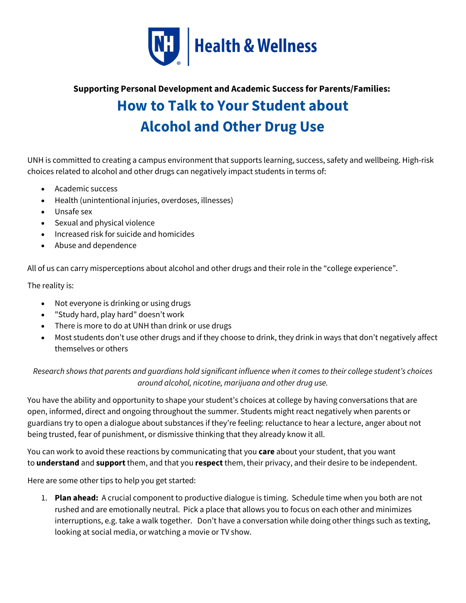

## **Supporting Personal Development and Academic Success for Parents/Families: How to Talk to Your Student about Alcohol and Other Drug Use**

UNH is committed to creating a campus environment that supports learning, success, safety and wellbeing. High-risk choices related to alcohol and other drugs can negatively impact students in terms of:

- Academic success
- Health (unintentional injuries, overdoses, illnesses)
- Unsafe sex
- Sexual and physical violence
- Increased risk for suicide and homicides
- Abuse and dependence

All of us can carry misperceptions about alcohol and other drugs and their role in the "college experience".

The reality is:

- Not everyone is drinking or using drugs
- "Study hard, play hard" doesn't work
- There is more to do at UNH than drink or use drugs
- Most students don't use other drugs and if they choose to drink, they drink in ways that don't negatively affect themselves or others

*Research shows that parents and guardians hold significant influence when it comes to their college student's choices around alcohol, nicotine, marijuana and other drug use.*

You have the ability and opportunity to shape your student's choices at college by having conversations that are open, informed, direct and ongoing throughout the summer. Students might react negatively when parents or guardians try to open a dialogue about substances if they're feeling: reluctance to hear a lecture, anger about not being trusted, fear of punishment, or dismissive thinking that they already know it all.

You can work to avoid these reactions by communicating that you **care** about your student, that you want to **understand** and **support** them, and that you **respect** them, their privacy, and their desire to be independent.

Here are some other tips to help you get started:

1. **Plan ahead:** A crucial component to productive dialogue is timing. Schedule time when you both are not rushed and are emotionally neutral. Pick a place that allows you to focus on each other and minimizes interruptions, e.g. take a walk together. Don't have a conversation while doing other things such as texting, looking at social media, or watching a movie or TV show.